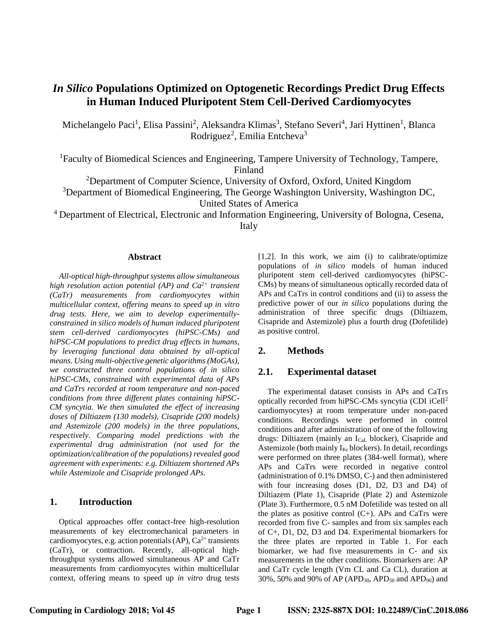# *In Silico* **Populations Optimized on Optogenetic Recordings Predict Drug Effects in Human Induced Pluripotent Stem Cell-Derived Cardiomyocytes**

Michelangelo Paci<sup>1</sup>, Elisa Passini<sup>2</sup>, Aleksandra Klimas<sup>3</sup>, Stefano Severi<sup>4</sup>, Jari Hyttinen<sup>1</sup>, Blanca Rodriguez<sup>2</sup>, Emilia Entcheva<sup>3</sup>

<sup>1</sup>Faculty of Biomedical Sciences and Engineering, Tampere University of Technology, Tampere, Finland

<sup>2</sup>Department of Computer Science, University of Oxford, Oxford, United Kingdom

 $3$ Department of Biomedical Engineering, The George Washington University, Washington DC,

United States of America

<sup>4</sup> Department of Electrical, Electronic and Information Engineering, University of Bologna, Cesena, Italy

#### **Abstract**

*All-optical high-throughput systems allow simultaneous high resolution action potential (AP) and Ca2+ transient (CaTr) measurements from cardiomyocytes within multicellular context, offering means to speed up in vitro drug tests. Here, we aim to develop experimentallyconstrained in silico models of human induced pluripotent stem cell-derived cardiomyocytes (hiPSC-CMs) and hiPSC-CM populations to predict drug effects in humans, by leveraging functional data obtained by all-optical means. Using multi-objective genetic algorithms (MoGAs), we constructed three control populations of in silico hiPSC-CMs, constrained with experimental data of APs and CaTrs recorded at room temperature and non-paced conditions from three different plates containing hiPSC-CM syncytia. We then simulated the effect of increasing doses of Diltiazem (130 models), Cisapride (200 models) and Astemizole (200 models) in the three populations, respectively. Comparing model predictions with the experimental drug administration (not used for the optimization/calibration of the populations) revealed good agreement with experiments: e.g. Diltiazem shortened APs while Astemizole and Cisapride prolonged APs.*

## **1. Introduction**

Optical approaches offer contact-free high-resolution measurements of key electromechanical parameters in cardiomyocytes, e.g. action potentials  $(AP)$ ,  $Ca<sup>2+</sup>$  transients (CaTr), or contraction. Recently, all-optical highthroughput systems allowed simultaneous AP and CaTr measurements from cardiomyocytes within multicellular context, offering means to speed up *in vitro* drug tests

[1,2]. In this work, we aim (i) to calibrate/optimize populations of *in silico* models of human induced pluripotent stem cell-derived cardiomyocytes (hiPSC-CMs) by means of simultaneous optically recorded data of APs and CaTrs in control conditions and (ii) to assess the predictive power of our *in silico* populations during the administration of three specific drugs (Diltiazem, Cisapride and Astemizole) plus a fourth drug (Dofetilide) as positive control.

## **2. Methods**

#### **2.1. Experimental dataset**

The experimental dataset consists in APs and CaTrs optically recorded from hiPSC-CMs syncytia (CDI iCell<sup>2</sup> cardiomyocytes) at room temperature under non-paced conditions. Recordings were performed in control conditions and after administration of one of the following drugs: Diltiazem (mainly an ICaL blocker), Cisapride and Astemizole (both mainly  $I_{Kr}$  blockers). In detail, recordings were performed on three plates (384-well format), where APs and CaTrs were recorded in negative control (administration of 0.1% DMSO, C-) and then administered with four increasing doses (D1, D2, D3 and D4) of Diltiazem (Plate 1), Cisapride (Plate 2) and Astemizole (Plate 3). Furthermore, 0.5 nM Dofetilide was tested on all the plates as positive control  $(C+)$ . APs and CaTrs were recorded from five C- samples and from six samples each of C+, D1, D2, D3 and D4. Experimental biomarkers for the three plates are reported in Table 1. For each biomarker, we had five measurements in C- and six measurements in the other conditions. Biomarkers are: AP and CaTr cycle length (Vm CL and Ca CL), duration at 30%, 50% and 90% of AP (APD<sub>30</sub>, APD<sub>50</sub> and APD<sub>90</sub>) and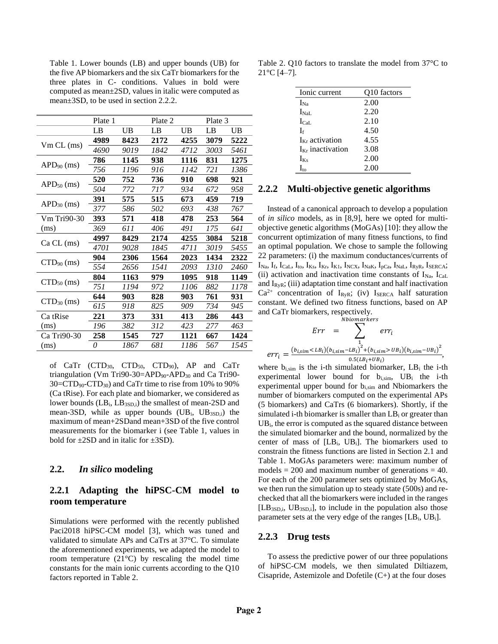Table 1. Lower bounds (LB) and upper bounds (UB) for the five AP biomarkers and the six CaTr biomarkers for the three plates in C- conditions. Values in bold were computed as mean±2SD, values in italic were computed as mean±3SD, to be used in section 2.2.2.

|                 | Plate 1 |           | Plate 2 |             | Plate 3 |      |
|-----------------|---------|-----------|---------|-------------|---------|------|
|                 | LB      | <b>UB</b> | LB      | $_{\rm UB}$ | LB      | UB   |
| $Vm CL$ (ms)    | 4989    | 8423      | 2172    | 4255        | 3079    | 5222 |
|                 | 4690    | 9019      | 1842    | 4712        | 3003    | 5461 |
| $APD_{90}$ (ms) | 786     | 1145      | 938     | 1116        | 831     | 1275 |
|                 | 756     | 1196      | 916     | 1142        | 721     | 1386 |
| $APD50$ (ms)    | 520     | 752       | 736     | 910         | 698     | 921  |
|                 | 504     | 772       | 717     | 934         | 672     | 958  |
| $APD30$ (ms)    | 391     | 575       | 515     | 673         | 459     | 719  |
|                 | 377     | 586       | 502     | 693         | 438     | 767  |
| Vm Tri90-30     | 393     | 571       | 418     | 478         | 253     | 564  |
| (ms)            | 369     | 611       | 406     | 491         | 175     | 641  |
| $Ca CL$ (ms)    | 4997    | 8429      | 2174    | 4255        | 3084    | 5218 |
|                 | 4701    | 9028      | 1845    | 4711        | 3019    | 5455 |
| $CTD_{90}$ (ms) | 904     | 2306      | 1564    | 2023        | 1434    | 2322 |
|                 | 554     | 2656      | 1541    | 2093        | 1310    | 2460 |
| $CTD50$ (ms)    | 804     | 1163      | 979     | 1095        | 918     | 1149 |
|                 | 751     | 1194      | 972     | 1106        | 882     | 1178 |
| $CTD_{30}$ (ms) | 644     | 903       | 828     | 903         | 761     | 931  |
|                 | 615     | 918       | 825     | 909         | 734     | 945  |
| Ca tRise        | 221     | 373       | 331     | 413         | 286     | 443  |
| (ms)            | 196     | 382       | 312     | 423         | 277     | 463  |
| Ca Tri90-30     | 258     | 1545      | 727     | 1121        | 667     | 1424 |
| (ms)            | 0       | 1867      | 681     | 1186        | 567     | 1545 |

of CaTr (CTD<sub>30</sub>, CTD<sub>50</sub>, CTD<sub>90</sub>), AP and CaTr triangulation (Vm Tri90-30=APD<sub>90</sub>-APD<sub>30</sub> and Ca Tri90-30=CTD90-CTD30) and CaTr time to rise from 10% to 90% (Ca tRise). For each plate and biomarker, we considered as lower bounds  $(LB_i, LB_{3SD,i})$  the smallest of mean-2SD and mean-3SD, while as upper bounds  $(UB_i, UB_{3SD,i})$  the maximum of mean+2SDand mean+3SD of the five control measurements for the biomarker i (see Table 1, values in bold for  $\pm 2SD$  and in italic for  $\pm 3SD$ ).

## **2.2.** *In silico* **modeling**

## **2.2.1 Adapting the hiPSC-CM model to room temperature**

Simulations were performed with the recently published Paci2018 hiPSC-CM model [3], which was tuned and validated to simulate APs and CaTrs at 37°C. To simulate the aforementioned experiments, we adapted the model to room temperature  $(21^{\circ}C)$  by rescaling the model time constants for the main ionic currents according to the Q10 factors reported in Table 2.

Table 2. Q10 factors to translate the model from 37°C to  $21^{\circ}$ C [4-7].

| Ionic current            | Q10 factors |
|--------------------------|-------------|
| $I_{\rm Na}$             | 2.00        |
| $\Gamma_{\rm NaI}$       | 2.20        |
| $I_{\text{CaI}}$ .       | 2.10        |
| $\mathbf{I}$             | 4.50        |
| $I_{Kr}$ activation      | 4.55        |
| $I_{Kr}$ inactivation    | 3.08        |
| $I_{Ks}$                 | 2.00        |
| $\mathbf{I}_{\text{to}}$ | 2.00        |

#### **2.2.2 Multi-objective genetic algorithms**

Instead of a canonical approach to develop a population of *in silico* models, as in [8,9], here we opted for multiobjective genetic algorithms (MoGAs) [10]: they allow the concurrent optimization of many fitness functions, to find an optimal population. We chose to sample the following 22 parameters: (i) the maximum conductances/currents of  $I_{\text{Na}}$ ,  $I_{\text{f}}$ ,  $I_{\text{Cal}}$ ,  $I_{\text{to}}$ ,  $I_{\text{Ks}}$ ,  $I_{\text{Kr}}$ ,  $I_{\text{K1}}$ ,  $I_{\text{NCX}}$ ,  $I_{\text{NaK}}$ ,  $I_{\text{pCa}}$ ,  $I_{\text{NaL}}$ ,  $I_{\text{RyR}}$ ,  $I_{\text{SERCA}}$ ; (ii) activation and inactivation time constants of  $I_{Na}$ ,  $I_{Cal}$ and  $I_{RyR}$ ; (iii) adaptation time constant and half inactivation  $Ca^{2+}$  concentration of I<sub>RyR</sub>; (iv) I<sub>SERCA</sub> half saturation constant. We defined two fitness functions, based on AP and CaTr biomarkers, respectively.

$$
Err = \sum_{0.5(LB_i+UB_i)}^{Nbiomarkers} err_i
$$
  
 
$$
err_i = \frac{(b_{i,sim} < LB_i)(b_{i,sim} - LB_i)^2 + (b_{i,sim} > UB_i)(b_{i,sim} - UB_i)^2}{0.5(LB_i + UB_i)},
$$

where  $b_{i,sim}$  is the i-th simulated biomarker, LB<sub>i</sub> the i-th experimental lower bound for bi,sim, UB<sup>i</sup> the i-th experimental upper bound for  $b_{i,sim}$  and Nbiomarkers the number of biomarkers computed on the experimental APs (5 biomarkers) and CaTrs (6 biomarkers). Shortly, if the simulated i-th biomarker is smaller than  $LB<sub>i</sub>$  or greater than UBi, the error is computed as the squared distance between the simulated biomarker and the bound, normalized by the center of mass of [LBi, UBi]. The biomarkers used to constrain the fitness functions are listed in Section 2.1 and Table 1. MoGAs parameters were: maximum number of models  $= 200$  and maximum number of generations  $= 40$ . For each of the 200 parameter sets optimized by MoGAs, we then run the simulation up to steady state (500s) and rechecked that all the biomarkers were included in the ranges  $[LB<sub>3SD.i</sub>, UB<sub>3SD.i</sub>]$ , to include in the population also those parameter sets at the very edge of the ranges  $[LB_i, UB_i]$ .

### **2.2.3 Drug tests**

To assess the predictive power of our three populations of hiPSC-CM models, we then simulated Diltiazem, Cisapride, Astemizole and Dofetile (C+) at the four doses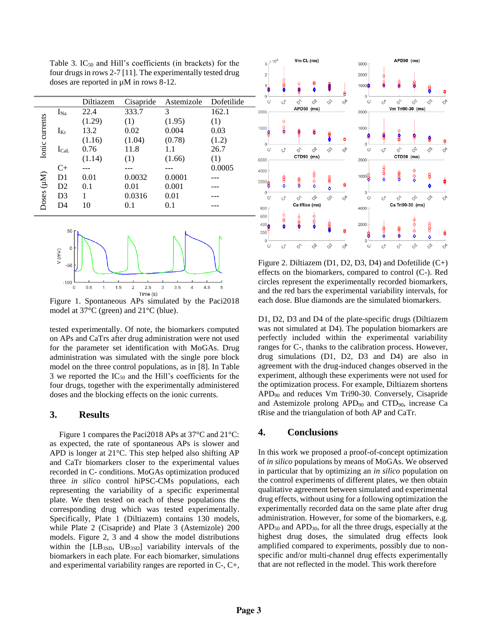Table 3.  $IC_{50}$  and Hill's coefficients (in brackets) for the four drugs in rows 2-7 [11]. The experimentally tested drug doses are reported in µM in rows 8-12.

|                |                | Diltiazem | Cisapride | Astemizole | Dofetilide |
|----------------|----------------|-----------|-----------|------------|------------|
| Ionic currents | $I_{Na}$       | 22.4      | 333.7     | 3          | 162.1      |
|                |                | (1.29)    | (1)       | (1.95)     | (1)        |
|                | $I_{Kr}$       | 13.2      | 0.02      | 0.004      | 0.03       |
|                |                | (1.16)    | (1.04)    | (0.78)     | (1.2)      |
|                | $I_{\rm{Cal}}$ | 0.76      | 11.8      | 1.1        | 26.7       |
|                |                | (1.14)    | (1)       | (1.66)     | (1)        |
|                | $C+$           |           |           |            | 0.0005     |
|                | D <sub>1</sub> | 0.01      | 0.0032    | 0.0001     |            |
|                | D2             | 0.1       | 0.01      | 0.001      |            |
|                | D <sub>3</sub> |           | 0.0316    | 0.01       |            |
|                | D4             | 10        | 0.1       | 0.1        |            |
| Doses (µM)     |                |           |           |            |            |



Figure 1. Spontaneous APs simulated by the Paci 2018 model at 37°C (green) and 21°C (blue).

tested experimentally. Of note, the biomarkers computed on APs and CaTrs after drug administration were not used for the parameter set identification with MoGAs. Drug administration was simulated with the single pore block model on the three control populations, as in [8]. In Table 3 we reported the  $IC_{50}$  and the Hill's coefficients for the four drugs, together with the experimentally administered doses and the blocking effects on the ionic currents.

## **3. Results**

Figure 1 compares the Paci2018 APs at 37°C and 21°C: as expected, the rate of spontaneous APs is slower and APD is longer at 21°C. This step helped also shifting AP and CaTr biomarkers closer to the experimental values recorded in C- conditions. MoGAs optimization produced three *in silico* control hiPSC-CMs populations, each representing the variability of a specific experimental plate. We then tested on each of these populations the corresponding drug which was tested experimentally. Specifically, Plate 1 (Diltiazem) contains 130 models, while Plate 2 (Cisapride) and Plate 3 (Astemizole) 200 models. Figure 2, 3 and 4 show the model distributions within the  $[LB_{3SD}, UB_{3SD}]$  variability intervals of the biomarkers in each plate. For each biomarker, simulations and experimental variability ranges are reported in C-, C+,



Figure 2. Diltiazem (D1, D2, D3, D4) and Dofetilide (C+) effects on the biomarkers, compared to control (C-). Red circles represent the experimentally recorded biomarkers, and the red bars the experimental variability intervals, for each dose. Blue diamonds are the simulated biomarkers.

D1, D2, D3 and D4 of the plate-specific drugs (Diltiazem was not simulated at D4). The population biomarkers are perfectly included within the experimental variability ranges for C-, thanks to the calibration process. However, drug simulations (D1, D2, D3 and D4) are also in agreement with the drug-induced changes observed in the experiment, although these experiments were not used for the optimization process. For example, Diltiazem shortens APD<sup>90</sup> and reduces Vm Tri90-30. Conversely, Cisapride and Astemizole prolong  $APD_{90}$  and  $CTD_{90}$ , increase Ca tRise and the triangulation of both AP and CaTr.

#### **4. Conclusions**

In this work we proposed a proof-of-concept optimization of *in silico* populations by means of MoGAs. We observed in particular that by optimizing an *in silico* population on the control experiments of different plates, we then obtain qualitative agreement between simulated and experimental drug effects, without using for a following optimization the experimentally recorded data on the same plate after drug administration. However, for some of the biomarkers, e.g. APD<sup>50</sup> and APD30, for all the three drugs, especially at the highest drug doses, the simulated drug effects look amplified compared to experiments, possibly due to nonspecific and/or multi-channel drug effects experimentally that are not reflected in the model. This work therefore